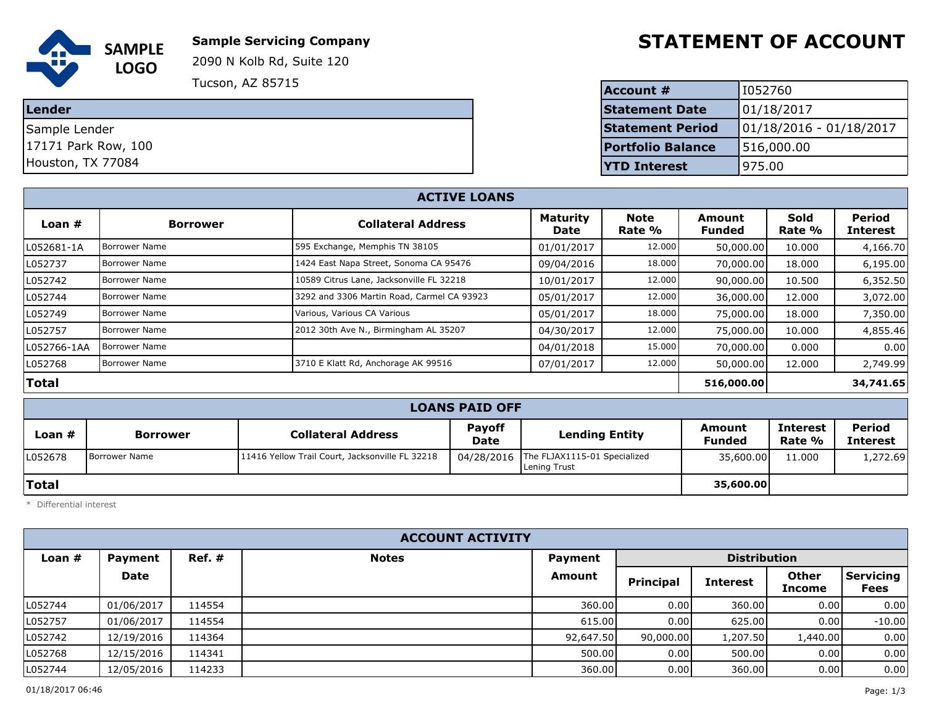

**Sample Servicing Company**

2090 N Kolb Rd, Suite 120

**Tucson, AZ 85715** 

**Lender**

Sample Lender 17171 Park Row, 100

Houston, TX 77084

## **STATEMENT OF ACCOUNT**

| <b>Account #</b>         | 1052760                   |
|--------------------------|---------------------------|
| <b>Statement Date</b>    | 01/18/2017                |
| <b>Statement Period</b>  | $01/18/2016 - 01/18/2017$ |
| <b>Portfolio Balance</b> | 516,000.00                |
| <b>TYTD Interest</b>     | 975.00                    |

| <b>ACTIVE LOANS</b> |                      |                                            |                         |                       |                         |                       |                           |  |  |  |
|---------------------|----------------------|--------------------------------------------|-------------------------|-----------------------|-------------------------|-----------------------|---------------------------|--|--|--|
| Loan $#$            | <b>Borrower</b>      | <b>Collateral Address</b>                  | <b>Maturity</b><br>Date | <b>Note</b><br>Rate % | Amount<br><b>Funded</b> | <b>Sold</b><br>Rate % | Period<br><b>Interest</b> |  |  |  |
| L052681-1A          | <b>Borrower Name</b> | 595 Exchange, Memphis TN 38105             | 01/01/2017              | 12.000                | 50,000.00               | 10.000                | 4,166.70                  |  |  |  |
| L052737             | <b>Borrower Name</b> | 1424 East Napa Street, Sonoma CA 95476     | 09/04/2016              | 18.000                | 70,000.00               | 18.000                | 6,195.00                  |  |  |  |
| L052742             | <b>Borrower Name</b> | 10589 Citrus Lane, Jacksonville FL 32218   | 10/01/2017              | 12.000                | 90,000.00               | 10.500                | 6,352.50                  |  |  |  |
| L052744             | <b>Borrower Name</b> | 3292 and 3306 Martin Road, Carmel CA 93923 | 05/01/2017              | 12.000                | 36,000.00               | 12.000                | 3,072.00                  |  |  |  |
| L052749             | <b>Borrower Name</b> | Various, Various CA Various                | 05/01/2017              | 18.000                | 75,000.00               | 18.000                | 7,350.00                  |  |  |  |
| L052757             | <b>Borrower Name</b> | 2012 30th Ave N., Birmingham AL 35207      | 04/30/2017              | 12.000                | 75,000,00               | 10.000                | 4,855.46                  |  |  |  |
| L052766-1AA         | <b>Borrower Name</b> |                                            | 04/01/2018              | 15.000                | 70,000.00               | 0.000                 | 0.00                      |  |  |  |
| L052768             | <b>Borrower Name</b> | 3710 E Klatt Rd, Anchorage AK 99516        | 07/01/2017              | 12.000                | 50,000.00               | 12.000                | 2,749.99                  |  |  |  |
| Total               |                      |                                            | 516,000.00              |                       | 34,741.65               |                       |                           |  |  |  |

|  |  | <b>LOANS PAID OFF</b> |  |  |  |
|--|--|-----------------------|--|--|--|
|--|--|-----------------------|--|--|--|

|          | ________________ |                                                 |                              |                                                         |                  |                           |                                  |  |  |  |
|----------|------------------|-------------------------------------------------|------------------------------|---------------------------------------------------------|------------------|---------------------------|----------------------------------|--|--|--|
| Loan $#$ | <b>Borrower</b>  | <b>Collateral Address</b>                       | <b>Payoff</b><br><b>Date</b> | <b>Lending Entity</b>                                   | Amount<br>Funded | <b>Interest</b><br>Rate % | <b>Period</b><br><b>Interest</b> |  |  |  |
| L052678  | Borrower Name    | 11416 Yellow Trail Court, Jacksonville FL 32218 |                              | 04/28/2016 The FLJAX1115-01 Specialized<br>Lening Trust | 35,600.00        | 11.000                    | 1,272.69                         |  |  |  |
| Total    |                  |                                                 |                              |                                                         | 35,600.00        |                           |                                  |  |  |  |

\* Differential interest

| <b>ACCOUNT ACTIVITY</b> |            |           |              |                |                  |                     |                        |                          |
|-------------------------|------------|-----------|--------------|----------------|------------------|---------------------|------------------------|--------------------------|
| Loan $#$                | Payment    | $Ref. \#$ | <b>Notes</b> | <b>Payment</b> |                  | <b>Distribution</b> |                        |                          |
|                         | Date       |           |              | <b>Amount</b>  | <b>Principal</b> | <b>Interest</b>     | <b>Other</b><br>Income | <b>Servicing</b><br>Fees |
| L052744                 | 01/06/2017 | 114554    |              | 360.00         | 0.00             | 360.00              | 0.00                   | 0.00                     |
| L052757                 | 01/06/2017 | 114554    |              | 615.00         | 0.00             | 625.00              | 0.00                   | $-10.00$                 |
| L052742                 | 12/19/2016 | 114364    |              | 92,647.50      | 90,000.00        | 1,207.50            | 1,440.00               | 0.00                     |
| L052768                 | 12/15/2016 | 114341    |              | 500.00         | 0.001            | 500.00              | 0.00                   | 0.00                     |
| L052744                 | 12/05/2016 | 114233    |              | 360.00         | 0.00             | 360.00              | 0.00                   | 0.00                     |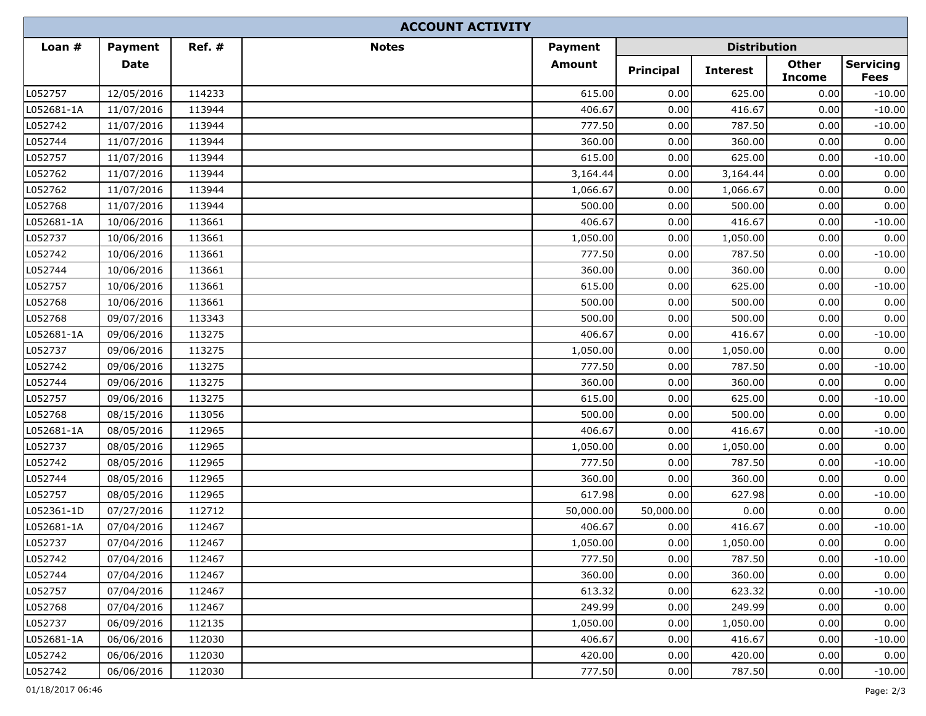|            |                |           | <b>ACCOUNT ACTIVITY</b> |                |                     |                 |                               |                                 |
|------------|----------------|-----------|-------------------------|----------------|---------------------|-----------------|-------------------------------|---------------------------------|
| Loan $#$   | <b>Payment</b> | $Ref. \#$ | <b>Notes</b>            | <b>Payment</b> | <b>Distribution</b> |                 |                               |                                 |
|            | <b>Date</b>    |           |                         | Amount         | <b>Principal</b>    | <b>Interest</b> | <b>Other</b><br><b>Income</b> | <b>Servicing</b><br><b>Fees</b> |
| L052757    | 12/05/2016     | 114233    |                         | 615.00         | 0.00                | 625.00          | 0.00                          | $-10.00$                        |
| L052681-1A | 11/07/2016     | 113944    |                         | 406.67         | 0.00                | 416.67          | 0.00                          | $-10.00$                        |
| L052742    | 11/07/2016     | 113944    |                         | 777.50         | 0.00                | 787.50          | 0.00                          | $-10.00$                        |
| L052744    | 11/07/2016     | 113944    |                         | 360.00         | 0.00                | 360.00          | 0.00                          | 0.00                            |
| L052757    | 11/07/2016     | 113944    |                         | 615.00         | 0.00                | 625.00          | 0.00                          | $-10.00$                        |
| L052762    | 11/07/2016     | 113944    |                         | 3,164.44       | 0.00                | 3,164.44        | 0.00                          | 0.00                            |
| L052762    | 11/07/2016     | 113944    |                         | 1,066.67       | 0.00                | 1,066.67        | 0.00                          | 0.00                            |
| L052768    | 11/07/2016     | 113944    |                         | 500.00         | 0.00                | 500.00          | 0.00                          | 0.00                            |
| L052681-1A | 10/06/2016     | 113661    |                         | 406.67         | 0.00                | 416.67          | 0.00                          | $-10.00$                        |
| L052737    | 10/06/2016     | 113661    |                         | 1,050.00       | 0.00                | 1,050.00        | 0.00                          | 0.00                            |
| L052742    | 10/06/2016     | 113661    |                         | 777.50         | 0.00                | 787.50          | 0.00                          | $-10.00$                        |
| L052744    | 10/06/2016     | 113661    |                         | 360.00         | 0.00                | 360.00          | 0.00                          | 0.00                            |
| L052757    | 10/06/2016     | 113661    |                         | 615.00         | 0.00                | 625.00          | 0.00                          | $-10.00$                        |
| L052768    | 10/06/2016     | 113661    |                         | 500.00         | 0.00                | 500.00          | 0.00                          | 0.00                            |
| L052768    | 09/07/2016     | 113343    |                         | 500.00         | 0.00                | 500.00          | 0.00                          | 0.00                            |
| L052681-1A | 09/06/2016     | 113275    |                         | 406.67         | 0.00                | 416.67          | 0.00                          | $-10.00$                        |
| L052737    | 09/06/2016     | 113275    |                         | 1,050.00       | 0.00                | 1,050.00        | 0.00                          | 0.00                            |
| L052742    | 09/06/2016     | 113275    |                         | 777.50         | 0.00                | 787.50          | 0.00                          | $-10.00$                        |
| L052744    | 09/06/2016     | 113275    |                         | 360.00         | 0.00                | 360.00          | 0.00                          | 0.00                            |
| L052757    | 09/06/2016     | 113275    |                         | 615.00         | 0.00                | 625.00          | 0.00                          | $-10.00$                        |
| L052768    | 08/15/2016     | 113056    |                         | 500.00         | 0.00                | 500.00          | 0.00                          | 0.00                            |
| L052681-1A | 08/05/2016     | 112965    |                         | 406.67         | 0.00                | 416.67          | 0.00                          | $-10.00$                        |
| L052737    | 08/05/2016     | 112965    |                         | 1,050.00       | 0.00                | 1,050.00        | 0.00                          | 0.00                            |
| L052742    | 08/05/2016     | 112965    |                         | 777.50         | 0.00                | 787.50          | 0.00                          | $-10.00$                        |
| L052744    | 08/05/2016     | 112965    |                         | 360.00         | 0.00                | 360.00          | 0.00                          | 0.00                            |
| L052757    | 08/05/2016     | 112965    |                         | 617.98         | 0.00                | 627.98          | 0.00                          | $-10.00$                        |
| L052361-1D | 07/27/2016     | 112712    |                         | 50,000.00      | 50,000.00           | 0.00            | 0.00                          | 0.00                            |
| L052681-1A | 07/04/2016     | 112467    |                         | 406.67         | 0.00                | 416.67          | 0.00                          | $-10.00$                        |
| L052737    | 07/04/2016     | 112467    |                         | 1,050.00       | 0.00                | 1,050.00        | $0.00\,$                      | 0.00                            |
| L052742    | 07/04/2016     | 112467    |                         | 777.50         | 0.00                | 787.50          | 0.00                          | $-10.00$                        |
| L052744    | 07/04/2016     | 112467    |                         | 360.00         | 0.00                | 360.00          | 0.00                          | 0.00                            |
| L052757    | 07/04/2016     | 112467    |                         | 613.32         | 0.00                | 623.32          | 0.00                          | $-10.00$                        |
| L052768    | 07/04/2016     | 112467    |                         | 249.99         | 0.00                | 249.99          | 0.00                          | 0.00                            |
| L052737    | 06/09/2016     | 112135    |                         | 1,050.00       | 0.00                | 1,050.00        | 0.00                          | 0.00                            |
| L052681-1A | 06/06/2016     | 112030    |                         | 406.67         | 0.00                | 416.67          | 0.00                          | $-10.00$                        |
| L052742    | 06/06/2016     | 112030    |                         | 420.00         | 0.00                | 420.00          | 0.00                          | 0.00                            |
| L052742    | 06/06/2016     | 112030    |                         | 777.50         | 0.00                | 787.50          | 0.00                          | $-10.00$                        |